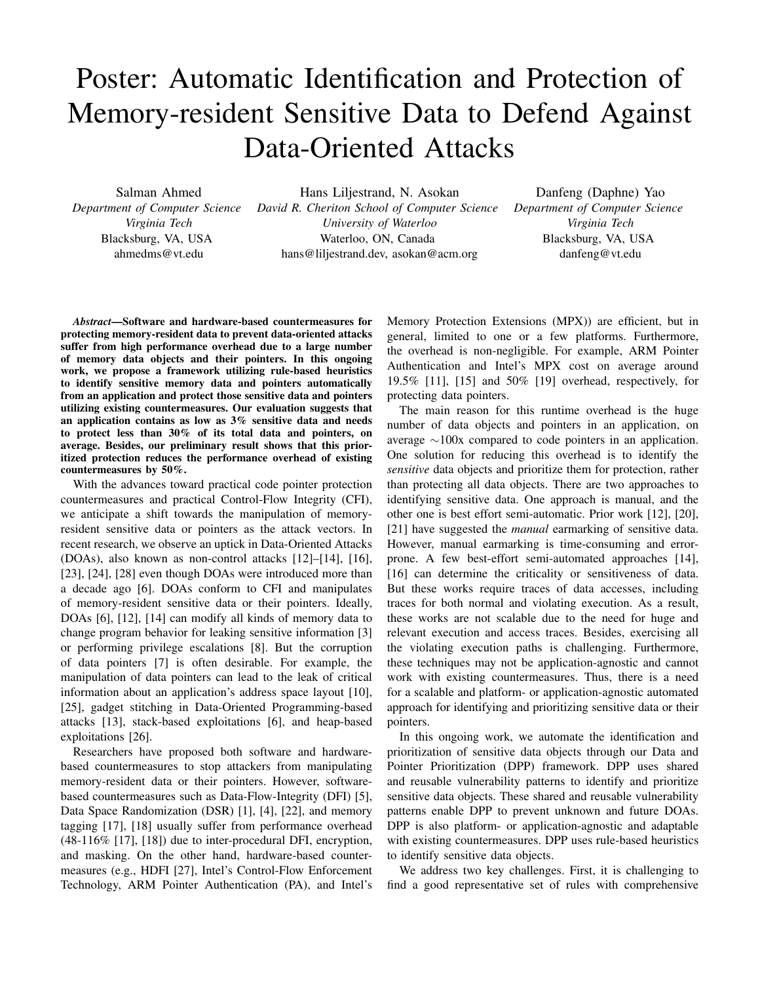## Poster: Automatic Identification and Protection of Memory-resident Sensitive Data to Defend Against Data-Oriented Attacks

Salman Ahmed *Department of Computer Science Virginia Tech* Blacksburg, VA, USA ahmedms@vt.edu

Hans Liljestrand, N. Asokan *David R. Cheriton School of Computer Science University of Waterloo* Waterloo, ON, Canada hans@liljestrand.dev, asokan@acm.org

Danfeng (Daphne) Yao *Department of Computer Science Virginia Tech* Blacksburg, VA, USA danfeng@vt.edu

*Abstract*—Software and hardware-based countermeasures for protecting memory-resident data to prevent data-oriented attacks suffer from high performance overhead due to a large number of memory data objects and their pointers. In this ongoing work, we propose a framework utilizing rule-based heuristics to identify sensitive memory data and pointers automatically from an application and protect those sensitive data and pointers utilizing existing countermeasures. Our evaluation suggests that an application contains as low as 3% sensitive data and needs to protect less than 30% of its total data and pointers, on average. Besides, our preliminary result shows that this prioritized protection reduces the performance overhead of existing countermeasures by 50%.

With the advances toward practical code pointer protection countermeasures and practical Control-Flow Integrity (CFI), we anticipate a shift towards the manipulation of memoryresident sensitive data or pointers as the attack vectors. In recent research, we observe an uptick in Data-Oriented Attacks (DOAs), also known as non-control attacks [12]–[14], [16], [23], [24], [28] even though DOAs were introduced more than a decade ago [6]. DOAs conform to CFI and manipulates of memory-resident sensitive data or their pointers. Ideally, DOAs [6], [12], [14] can modify all kinds of memory data to change program behavior for leaking sensitive information [3] or performing privilege escalations [8]. But the corruption of data pointers [7] is often desirable. For example, the manipulation of data pointers can lead to the leak of critical information about an application's address space layout [10], [25], gadget stitching in Data-Oriented Programming-based attacks [13], stack-based exploitations [6], and heap-based exploitations [26].

Researchers have proposed both software and hardwarebased countermeasures to stop attackers from manipulating memory-resident data or their pointers. However, softwarebased countermeasures such as Data-Flow-Integrity (DFI) [5], Data Space Randomization (DSR) [1], [4], [22], and memory tagging [17], [18] usually suffer from performance overhead (48-116% [17], [18]) due to inter-procedural DFI, encryption, and masking. On the other hand, hardware-based countermeasures (e.g., HDFI [27], Intel's Control-Flow Enforcement Technology, ARM Pointer Authentication (PA), and Intel's Memory Protection Extensions (MPX)) are efficient, but in general, limited to one or a few platforms. Furthermore, the overhead is non-negligible. For example, ARM Pointer Authentication and Intel's MPX cost on average around 19.5% [11], [15] and 50% [19] overhead, respectively, for protecting data pointers.

The main reason for this runtime overhead is the huge number of data objects and pointers in an application, on average  $\sim$ 100x compared to code pointers in an application. One solution for reducing this overhead is to identify the *sensitive* data objects and prioritize them for protection, rather than protecting all data objects. There are two approaches to identifying sensitive data. One approach is manual, and the other one is best effort semi-automatic. Prior work [12], [20], [21] have suggested the *manual* earmarking of sensitive data. However, manual earmarking is time-consuming and errorprone. A few best-effort semi-automated approaches [14], [16] can determine the criticality or sensitiveness of data. But these works require traces of data accesses, including traces for both normal and violating execution. As a result, these works are not scalable due to the need for huge and relevant execution and access traces. Besides, exercising all the violating execution paths is challenging. Furthermore, these techniques may not be application-agnostic and cannot work with existing countermeasures. Thus, there is a need for a scalable and platform- or application-agnostic automated approach for identifying and prioritizing sensitive data or their pointers.

In this ongoing work, we automate the identification and prioritization of sensitive data objects through our Data and Pointer Prioritization (DPP) framework. DPP uses shared and reusable vulnerability patterns to identify and prioritize sensitive data objects. These shared and reusable vulnerability patterns enable DPP to prevent unknown and future DOAs. DPP is also platform- or application-agnostic and adaptable with existing countermeasures. DPP uses rule-based heuristics to identify sensitive data objects.

We address two key challenges. First, it is challenging to find a good representative set of rules with comprehensive